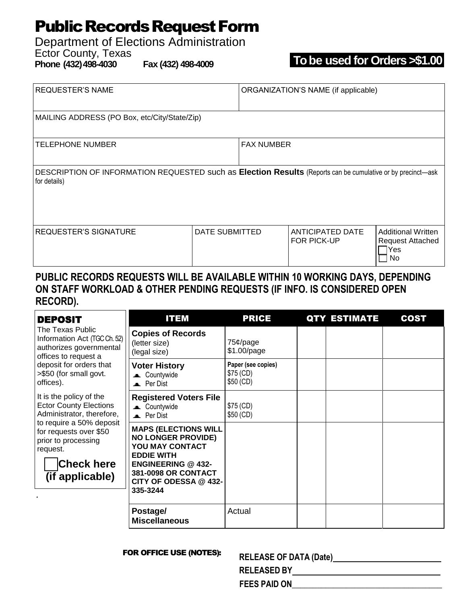## **Public Records Request Form**

# Department of Elections Administration

Ector County, Texas<br>Phone (432) 498-4030

**Phone (432)498-4030 Fax (432) 498-4009 To be used for Orders >\$1.00**

| <b>REQUESTER'S NAME</b>                                                                                                     |                | ORGANIZATION'S NAME (if applicable) |                                 |                                                                     |  |  |  |  |
|-----------------------------------------------------------------------------------------------------------------------------|----------------|-------------------------------------|---------------------------------|---------------------------------------------------------------------|--|--|--|--|
| MAILING ADDRESS (PO Box, etc/City/State/Zip)                                                                                |                |                                     |                                 |                                                                     |  |  |  |  |
| <b>TELEPHONE NUMBER</b>                                                                                                     |                | <b>FAX NUMBER</b>                   |                                 |                                                                     |  |  |  |  |
| DESCRIPTION OF INFORMATION REQUESTED such as Election Results (Reports can be cumulative or by precinct-ask<br>for details) |                |                                     |                                 |                                                                     |  |  |  |  |
| <b>REQUESTER'S SIGNATURE</b>                                                                                                | DATE SUBMITTED |                                     | ANTICIPATED DATE<br>FOR PICK-UP | <b>Additional Written</b><br><b>Request Attached</b><br>lYes<br>No. |  |  |  |  |

### **PUBLIC RECORDS REQUESTS WILL BE AVAILABLE WITHIN 10 WORKING DAYS, DEPENDING ON STAFF WORKLOAD & OTHER PENDING REQUESTS (IF INFO. IS CONSIDERED OPEN RECORD).**

| <b>DEPOSIT</b>                                                                                                                                                                                                         | <b>ITEM</b>                                                                                                                                                                               | <b>PRICE</b>                                 | <b>QTY ESTIMATE</b> | <b>COST</b> |
|------------------------------------------------------------------------------------------------------------------------------------------------------------------------------------------------------------------------|-------------------------------------------------------------------------------------------------------------------------------------------------------------------------------------------|----------------------------------------------|---------------------|-------------|
| The Texas Public<br>Information Act (TGC Ch. 52)<br>authorizes governmental<br>offices to request a<br>deposit for orders that<br>>\$50 (for small govt.<br>offices).                                                  | <b>Copies of Records</b><br>(letter size)<br>(legal size)                                                                                                                                 | $75¢$ /page<br>\$1.00/page                   |                     |             |
|                                                                                                                                                                                                                        | <b>Voter History</b><br><b>E</b> Countywide<br><b>Per Dist</b>                                                                                                                            | Paper (see copies)<br>\$75 (CD)<br>\$50 (CD) |                     |             |
| It is the policy of the<br><b>Ector County Elections</b><br>Administrator, therefore,<br>to require a 50% deposit<br>for requests over \$50<br>prior to processing<br>request.<br><b>Check here</b><br>(if applicable) | <b>Registered Voters File</b><br><b>E</b> Countywide<br>Per Dist                                                                                                                          | \$75 (CD)<br>\$50 (CD)                       |                     |             |
|                                                                                                                                                                                                                        | <b>MAPS (ELECTIONS WILL</b><br><b>NO LONGER PROVIDE)</b><br>YOU MAY CONTACT<br><b>EDDIE WITH</b><br><b>ENGINEERING @ 432-</b><br>381-0098 OR CONTACT<br>CITY OF ODESSA @ 432-<br>335-3244 |                                              |                     |             |
|                                                                                                                                                                                                                        | Postage/<br><b>Miscellaneous</b>                                                                                                                                                          | Actual                                       |                     |             |

#### **FOR OFFICE USE (NOTES):**

| <b>RELEASE OF DATA (Date)</b> |  |
|-------------------------------|--|
| <b>RELEASED BY</b>            |  |

 **FEES PAID ON\_\_\_\_\_\_\_\_\_\_\_\_\_\_\_\_\_\_\_\_\_\_\_\_\_\_\_\_\_\_\_\_\_\_\_\_**